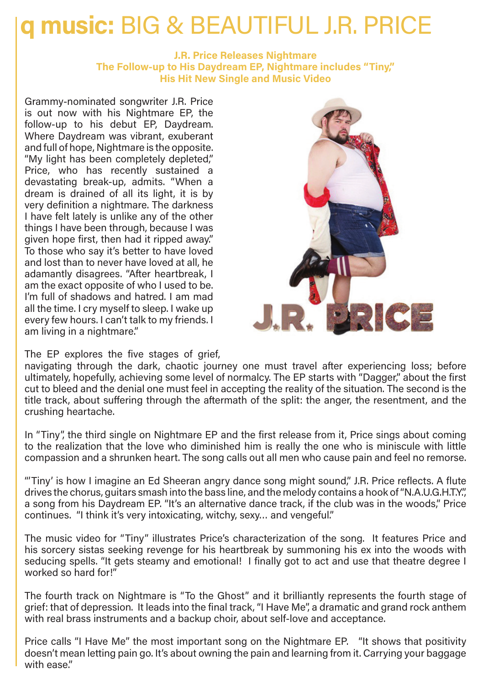## **q music:** BIG & BEAUTIFUL J.R. PRICE

## **J.R. Price Releases Nightmare The Follow-up to His Daydream EP, Nightmare includes "Tiny," His Hit New Single and Music Video**

Grammy-nominated songwriter J.R. Price is out now with his Nightmare EP, the follow-up to his debut EP, Daydream. Where Daydream was vibrant, exuberant and full of hope, Nightmare is the opposite. "My light has been completely depleted," Price, who has recently sustained a devastating break-up, admits. "When a dream is drained of all its light, it is by very definition a nightmare. The darkness I have felt lately is unlike any of the other things I have been through, because I was given hope first, then had it ripped away." To those who say it's better to have loved and lost than to never have loved at all, he adamantly disagrees. "After heartbreak, I am the exact opposite of who I used to be. I'm full of shadows and hatred. I am mad all the time. I cry myself to sleep. I wake up every few hours. I can't talk to my friends. I am living in a nightmare."



The EP explores the five stages of grief.

navigating through the dark, chaotic journey one must travel after experiencing loss; before ultimately, hopefully, achieving some level of normalcy. The EP starts with "Dagger," about the first cut to bleed and the denial one must feel in accepting the reality of the situation. The second is the title track, about suffering through the aftermath of the split: the anger, the resentment, and the crushing heartache.

In "Tiny", the third single on Nightmare EP and the first release from it, Price sings about coming to the realization that the love who diminished him is really the one who is miniscule with little compassion and a shrunken heart. The song calls out all men who cause pain and feel no remorse.

"'Tiny' is how I imagine an Ed Sheeran angry dance song might sound," J.R. Price reflects. A flute drives the chorus, guitars smash into the bass line, and the melody contains a hook of "N.A.U.G.H.T.Y.", a song from his Daydream EP. "It's an alternative dance track, if the club was in the woods," Price continues. "I think it's very intoxicating, witchy, sexy… and vengeful."

The music video for "Tiny" illustrates Price's characterization of the song. It features Price and his sorcery sistas seeking revenge for his heartbreak by summoning his ex into the woods with seducing spells. "It gets steamy and emotional! I finally got to act and use that theatre degree I worked so hard for!"

The fourth track on Nightmare is "To the Ghost" and it brilliantly represents the fourth stage of grief: that of depression. It leads into the final track, "I Have Me", a dramatic and grand rock anthem with real brass instruments and a backup choir, about self-love and acceptance.

Price calls "I Have Me" the most important song on the Nightmare EP. "It shows that positivity doesn't mean letting pain go. It's about owning the pain and learning from it. Carrying your baggage with ease."